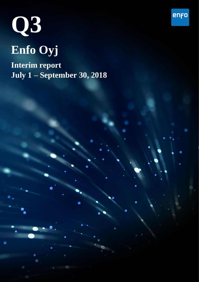

**Interim report July 1 – September 30, 2018**

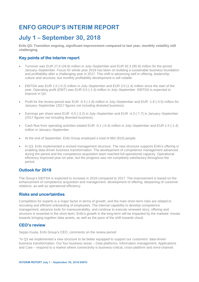# **ENFO GROUP'S INTERIM REPORT**

# **July 1 – September 30, 2018**

**Enfo Q3: Transition ongoing, significant improvement compared to last year, monthly volatility still challenging**

# **Key points of the interim report**

- Turnover was EUR 27.6 (28.8) million in July–September and EUR 92.3 (95.9) million for the period January–September. Focus for whole year 2018 has been on building a sustainable business foundation and profitability after a challenging year in 2017. This shift is advancing well in offering, leadership culture and structure, but monthly profitability development is still volatile.
- EBITDA was EUR 1.0 (-0.2) million in July–September and EUR 3.0 (1.4) million since the start of the year. Operating profit (EBIT) was EUR 0.0 (-1.4) million in July–September. EBITDA is expected to improve in Q4.
- Profit for the review period was EUR -0.3 (-1.8) million in July–September and EUR -1.8 (-3.5) million for January–September (2017 figures not including divested business).
- Earnings per share were EUR -0.5 (-3.2) in July–September and EUR -4.3 (-7.7) in January–September (2017 figures not including divested business).
- Cash flow from operating activities totaled EUR -0.1 (-0.4) million in July–September and EUR 1.5 (-1.4) million in January–September.
- At the end of September, Enfo Group employed a total of 882 (910) people.
- In Q3, Enfo implemented a revised management structure. The new structure supports Enfo's offering in enabling data-driven business transformation. The development of competence management advanced during the period and the competence acquisition team reached full operational capacity. Operational efficiency improved year-on-year, but the progress was not completely satisfactory throughout the period.

# **Outlook for 2018**

The Group's EBITDA is expected to increase in 2018 compared to 2017. The improvement is based on the enhancement of competence acquisition and management, development of offering, deepening of customer relations, as well as operational efficiency.

## **Risks and uncertainties**

Competition for experts is a major factor in terms of growth, and the main short-term risks are related to recruiting and efficient onboarding of employees. The internal capability to develop competence management, advance tools for maneuverability, and continue to execute renewed story, offering and structure is essential in the short-term. Enfo's growth in the long-term will be impacted by the markets' moves towards bringing together data assets, as well as the pace of the shift towards cloud.

## **CEO's review**

Seppo Kuula, Enfo Group's CEO, comments on the review period:

"In Q3 we implemented a new structure to be better equipped to support our customers' data-driven business transformation. Our four business areas – Data platforms, Information management, Applications and Care – respond to a market where connectivity is business-critical, cross-platform and omni-channel.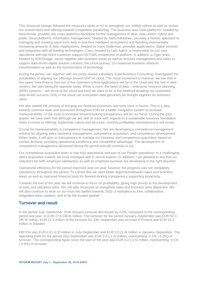This structural change followed the measures taken in H1 to strengthen our unified culture as well as evolve our shared story and offering towards competitive positioning. The business area Data platforms, headed by Nina Annila, provides the cross-platforms backbone for the management of data: data center, hybrid and public cloud platforms. Information management, headed by Sami Kähkönen, provides a holistic approach to managing and creating value from data in real-time intelligent ecosystems and handling exponentially increasing amounts of data. Applications, headed by Hans Sollerman, provides applications, digital services and integration with all leading technologies. Care, headed by Lars Aabol, is responsible for our care operations with top-notch customer support 24/7/365 irrespective of platform. In addition, a Tiger team, headed by Erik Brügge, works together with business areas as well as account management and sales to support data-driven digital solution creation, the cloud journey, co-creational business relations transformation as well as the humanization of technology.

During the period, we, together with our partly-owned subsidiary Zuite Business Consulting, investigated the possibilities of aligning our offerings around SAP on cloud. The cloud movement is massive: we see that in five years' time three to four out of five business-critical applications will be in the cloud and the rest in data centers, the ratio being the opposite today. What is more: the heart of data – enterprise resource planning (ERP) systems – will move to the cloud and here we want to be at the forefront enabling our customers' data-driven success. Only in the cloud can ecosystem data genuinely be brought together for business value.

We also started the process of bringing our financial processes and tools back in-house. This is a step towards common tools and processes throughout Enfo for a better navigation system to increase maneuverability. In Q4, tools to increase forward-looking transparency will be our focus. During the past quarter we have seen that although we are well on track with regards to a sustainable business foundation when it comes to offering, leadership culture and structure, monthly profitability development is still erratic.

Crucial for maneuverability is competence management. We are developing a competence management solution for aligning sales, business management, competence acquisition, and competence development. When ready, it will give us transparency to manage our business and competence acquisition based on market demand, providing operational excellence and competitive advantage. The development of competence management advanced during the period and will continue in Q4.

Our competence acquisition team is now fully operational and part of our People operations. In a challenging talent acquisition market, we have managed well to recruit experts. In addition, I am pleased to see that our indicators for both employee satisfaction as well as employee turnover are developing in the right direction.

Operational efficiency for the period improved year-on-year, however the progress was not completely satisfactory throughout the period. To correct this we need better alignment between sales and business areas as well as improved financial tools for forward-looking transparency supporting proactivity.

Towards the end of the year we will continue to focus on profitability, giving high priority to the development of tools and utilization rates. We will take measures to strengthen sales and business area alignment. We will also continue to work on our must-win battles towards 2020: a workplace to love; collaborative, integrated value creation; and to be the trusted partner."

#### **Turnover and result**

In the period July–September, Enfo Group's turnover decreased by 4.3%, compared to the corresponding period last year, to EUR 27.6 (28.8) million. The turnover for the period January–September was EUR 92.3 (95.9) million. EUR 12.3 million of the turnover for July–September was accrued in Finland and EUR 15.2 million in Sweden.

EBITDA was EUR 1.0 (-0.2) million in July–September and EUR 3.0 (1.4) million in January–September. The operating profit for the period July–September was EUR 0.0 (-1.4) million, representing -0.1% (-5.0%) of turnover. The corresponding figure since the start of the year was EUR 0.0 (-2.5) million, representing -0.1% (-2.6%) of turnover.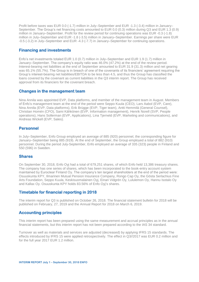Profit before taxes was EUR 0.0 (-1.7) million in July–September and EUR -1.3 (-3.4) million in January– September. The Group's net financing costs amounted to EUR 0.0 (0.3) million during Q3 and EUR 1.3 (0.9) million in January–September. Profit for the review period for continuing operations was EUR -0.3 (-1.8) million in July–September and EUR -1.8 (-3.5) million in January–September. Earnings per share were EUR -0.5 (-3.2) in July–September and EUR -4.3 (-7.7) in January–September for continuing operations.

### **Financing and investments**

Enfo's net investments totaled EUR 1.0 (0.7) million in July–September and EUR 1.9 (1.7) million in January–September. The company's equity ratio was 46.0% (47.2%) at the end of the review period. Interest-bearing net liabilities at the end of September amounted to EUR 31.9 (31.3) million and net gearing was 65.1% (55.7%). The Group is in breach of one of the covenants of its financiers' agreement requiring the Group's interest-bearing net liabilities/EBITDA to be less than 4.5, and thus the Group has classified the loans covered by the covenant as current liabilities in the Q3 interim report. The Group has received approval from its financiers for the covenant breach.

#### **Changes in the management team**

Nina Annila was appointed EVP, Data platforms, and member of the management team in August. Members of Enfo's management team at the end of the period were Seppo Kuula (CEO), Lars Aabol (EVP, Care), Nina Annila (EVP, Data platforms), Erik Brügge (EVP, Tiger team), Antti Hemmilä (General Counsel), Christian Homén (CFO), Sami Kähkönen (EVP, Information management), Henrik Norell (SVP, People operations), Hans Sollerman (EVP, Applications), Lina Tjerneld (EVP, Marketing and communications), and Andreas Wickell (EVP, Sales).

#### **Personnel**

In July–September, Enfo Group employed an average of 885 (920) personnel, the corresponding figure for January–September being 885 (919). At the end of September, the Group employed a total of 882 (910) personnel. During the period July-September, Enfo employed an average of 335 (323) people in Finland and 550 (596) in Sweden.

#### **Shares**

On September 30, 2018, Enfo Oyj had a total of 679,251 shares, of which Enfo held 13,386 treasury shares. The company has one series of shares, which has been incorporated to the book-entry account system maintained by Euroclear Finland Oy. The company's ten largest shareholders at the end of the period were: Osuuskunta KPY, Ilmarinen Mutual Pension Insurance Company, Rongo Cap Oy, the Gösta Serlachius Fine Arts Foundation, Seppo Kuula, Keskisuomalainen Oyj, Einari Vidgrén Oy, Lululemon Oy, Hannu Isotalo Oy and Kallax Oy. Osuuskunta KPY holds 83.56% of Enfo Oyj's shares.

#### **Timetable for financial reporting in 2018**

The interim report for Q3 is published on October 26, 2018. The financial statement bulletin for 2018 will be published on February, 27, 2019 and the Annual Report for 2018 on March 6, 2019.

#### **Accounting principles**

This interim report has been prepared using the same measurement and accrual principles as in the annual financial statements, but this interim report has not been prepared according to the IAS 34 standard.

Turnover as well as materials and services are adjusted (decreased) by applying IFRS 15 standards. The effects introduced by IFRS 15 were applied retrospectively. The effect in Q3//2017 was EUR 0.2 million and for the full year 2017 EUR 1.2 million.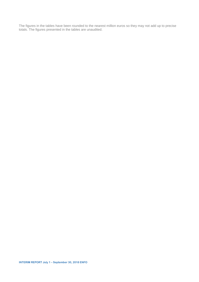The figures in the tables have been rounded to the nearest million euros so they may not add up to precise totals. The figures presented in the tables are unaudited.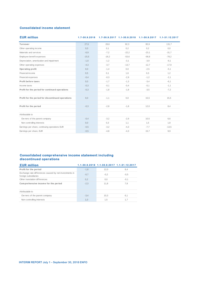#### **Consolidated income statement**

| <b>EUR million</b>                                |         |         |         | $1.7-30.9.2018$ $1.7-30.9.2017$ $1.1-30.9.2018$ $1.1-30.9.2017$ | 1.1-31.12.2017 |
|---------------------------------------------------|---------|---------|---------|-----------------------------------------------------------------|----------------|
| Turnover                                          | 27,6    | 28,8    | 92,3    | 95.9                                                            | 131,7          |
| Other operating income                            | 0,0     | 0,1     | 0,2     | 0,2                                                             | 0,0            |
| Materials and services                            | $-6,9$  | $-7,2$  | $-22,2$ | $-23,1$                                                         | $-31,7$        |
| Employee benefit expenses                         | $-15,5$ | $-18,2$ | $-53,6$ | $-58,8$                                                         | $-78,2$        |
| Depreciation, amortization and impairment         | $-1,0$  | $-1,2$  | $-3,1$  | $-3,9$                                                          | $-9,1$         |
| Other operating expenses                          | $-4,3$  | $-3,7$  | $-13,7$ | $-12.7$                                                         | $-17,9$        |
| Operating profit                                  | 0,0     | $-1, 4$ | 0,0     | $-2,5$                                                          | $-5,1$         |
| Financial income                                  | 0,5     | 0,1     | 1,6     | 0,3                                                             | 1,2            |
| Financial expenses                                | $-0,4$  | $-0,3$  | $-2,9$  | $-1,2$                                                          | $-2,1$         |
| Profit before taxes                               | 0,0     | $-1,7$  | $-1,3$  | $-3,4$                                                          | $-6,1$         |
| Income taxes                                      | $-0,3$  | $-0,1$  | $-0,4$  | $-0,1$                                                          | $-1,1$         |
| Profit for the period for continued operations    | $-0,3$  | $-1,8$  | $-1,8$  | $-3,5$                                                          | $-7,2$         |
| Profit for the period for discontinued operations | 0,0     | $-1,1$  | 0,0     | 15,5                                                            | 15,5           |
| Profit for the period                             | $-0,3$  | $-2,8$  | $-1,8$  | 12,0                                                            | 8,4            |
| Attributable to                                   |         |         |         |                                                                 |                |
| Ow ners of the parent company                     | $-0,4$  | $-3,2$  | $-2,9$  | 10.5                                                            | 6,6            |
| Non-controlling interests                         | 0,0     | 0,3     | 1,1     | 1,5                                                             | 1,8            |
| Earnings per share, continuing operations EUR     | $-0,5$  | $-3,2$  | $-4,3$  | $-7,7$                                                          | $-13,5$        |
| Earnings per share, EUR                           | $-0.5$  | $-4,8$  | $-4,3$  | 15,7                                                            | 9,9            |

#### **Consolidated comprehensive income statement including discontinued operations**

| <b>EUR million</b>                                                             |        |        | 1.1-30.9.2018 1.1-30.9.2017 1.1-31.12.2017 |
|--------------------------------------------------------------------------------|--------|--------|--------------------------------------------|
| Profit for the period                                                          | $-1,8$ | 12,0   | 8,4                                        |
| Exchange rate differences caused by net investments in<br>foreign subsidiaries | $-0,7$ | $-0.2$ | $-0,5$                                     |
| Other translation differences                                                  | 0,2    | 0,0    | $-0,1$                                     |
| Comprehensive income for the period                                            | $-2,3$ | 11,8   | 7,8                                        |
| Attributable to                                                                |        |        |                                            |
| Ow ners of the parent company                                                  | $-3.4$ | 10.3   | 6.1                                        |
| Non-controlling interests                                                      | 1.0    | 1.5    | 1.7                                        |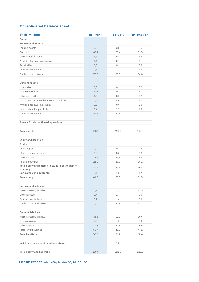## **Consolidated balance sheet**

| <b>EUR million</b>                                | 30.9.2018    | 30.9.2017    | 31.12.2017   |
|---------------------------------------------------|--------------|--------------|--------------|
| <b>Assets</b>                                     |              |              |              |
| Non-current assets                                |              |              |              |
| Tangible assets                                   | 2,9          | 3,8          | 3,5          |
| Goodw ill                                         | 67,4         | 75,4         | 69,5         |
| Other intangible assets                           | 4,6          | 5,4          | 5,3          |
| Available-for-sale investments                    | 0,1          | 0,1          | 0,1          |
| <b>Receivables</b>                                | 0,8          | 0,3          | 0,8          |
| Deferred tax assets                               | 1,5          | 1,4          | 1,6          |
| Total non-current assets                          | 77,3         | 86,5         | 80,8         |
|                                                   |              |              |              |
| <b>Current assets</b><br><b>Inventories</b>       | 0,0          | 0,1          | 0,0          |
| Trade receivables                                 |              |              | 25,3         |
| Other receivables                                 | 20,7<br>6,4  | 24,0<br>3,2  | 3,2          |
| Tax assets based on the period's taxable income   | 0,7          | 4,0          | 1,7          |
| Available-for-sale investments                    | 0,0          | 0,0          | 0,0          |
| Cash and cash equivalents                         | 1,7          |              |              |
| <b>Total current assets</b>                       |              | 1,9          | 1,9          |
|                                                   | 29,6         | 33,1         | 32,1         |
| Assets for discontinued operations                |              |              |              |
|                                                   |              | 1,9          |              |
| <b>Total assets</b>                               | 106,9        | 121,5        | 112,9        |
|                                                   |              |              |              |
| <b>Equity and liabilities</b>                     |              |              |              |
| Equity                                            |              |              |              |
| Share capital                                     | 0,3          | 0,3          | 0,3          |
| Share premium account                             | 0,0          | 0,0          | 0,0          |
| Other reserves<br>Retained earnings               | 25,6<br>22,0 | 26,1<br>28,3 | 25,4<br>25,1 |
| Total equity attributable to owners of the parent |              |              |              |
| company                                           | 47,9         | 54,7         | 50,8         |
| Non-controlling interests                         | 1,1          | 1,5          | 1,7          |
| <b>Total equity</b>                               | 49,0         | 56,3         | 52,5         |
|                                                   |              |              |              |
| Non-current liabilities                           |              |              |              |
| Interest-bearing liabilities                      | 1,2          | 20,4         | 11,5         |
| Other liabilities                                 | 0,4          | 1,4          | 0,9          |
| Deferred tax liabilities                          | 0,7          | 1,0          | 0,9          |
| Total non-current liabilities                     | 2,2          | 22,8         | 13,3         |
|                                                   |              |              |              |
| <b>Current liabilities</b>                        |              |              |              |
| Interest-bearing liabilities                      | 32,5         | 12,9         | 20,6         |
| Trade payables                                    | 5,4          | 4,9          | 6,0          |
| Other liabilities                                 | 17,8         | 22,8         | 20,5         |
| <b>Total current liabilities</b>                  | 55,7         | 40,6         | 47,1         |
| <b>Total liabilities</b>                          | 57,9         | 63,4         | 60,4         |
|                                                   |              |              |              |
| Liabilities for discontinued operations           |              | 1,8          |              |
| <b>Total equity and liabilities</b>               | 106,9        | 121,5        | 112,9        |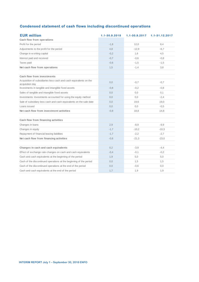# **Condensed statement of cash flows including discontinued operations**

| <b>EUR million</b><br>Cash flow from operations                                      | 1.1-30.9.2018 | $1.1 - 30.9.2017$ | 1.1-31.12.2017 |
|--------------------------------------------------------------------------------------|---------------|-------------------|----------------|
| Profit for the period                                                                | $-1,8$        | 12,0              | 8,4            |
| Adjustments to the profit for the period                                             | 4,8           | $-12.9$           | $-6,7$         |
| Change in w orking capital                                                           | $-0,2$        | 1,6               | 4,5            |
| Interest paid and received                                                           | $-0,7$        | $-0,6$            | $-0,8$         |
| Taxes paid                                                                           | $-0,6$        | $-1,5$            | $-1,5$         |
| Net cash flow from operations                                                        | 1,5           | $-1,4$            | 3,8            |
|                                                                                      |               |                   |                |
| Cash flow from investments                                                           |               |                   |                |
| Acquisition of subsidiaries less cash and cash equivalents on the<br>acquisition day | 0,0           | $-0,7$            | $-0,7$         |
| Investments in tangible and intangible fixed assets                                  | $-0.8$        | $-0,2$            | $-0.8$         |
| Sales of tangible and intangible fixed assets                                        | 0,0           | 0,0               | 0,1            |
| Investments: Investments accounted for using the equity method                       | 0,0           | 0,0               | $-2,4$         |
| Sale of subsidiary less cash and cash equivalents on the sale date                   | 0,0           | 19,6              | 19,0           |
| Loans issued                                                                         | 0,0           | 0,0               | $-0.5$         |
| Net cash flow from investment activities                                             | $-0,8$        | 18,8              | 14,8           |
|                                                                                      |               |                   |                |
| Cash flow from financing activities                                                  |               |                   |                |
| Changes in loans                                                                     | 2,9           | $-8,9$            | $-9.9$         |
| Changes in equity                                                                    | $-1,7$        | $-10,2$           | $-10,3$        |
| Repayment of financial leasing liabilities                                           | $-1,7$        | $-2,2$            | $-2,7$         |
| Net cash flow from financing activities                                              | $-0,6$        | $-21,3$           | $-23,0$        |
|                                                                                      |               |                   |                |
| Changes in cash and cash equivalents                                                 | 0,2           | $-3,9$            | $-4,4$         |
| Effect of exchange rate changes on cash and cash equivalents                         | $-0,4$        | $-0,1$            | $-0,2$         |
| Cash and cash equivalents at the beginning of the period                             | 1,9           | 5,0               | 5,0            |
| Cash of the discontinued operations at the beginning of the period                   | 0,0           | 1,5               | 1,5            |
| Cash of the discontinued operations at the end of the period                         | 0,0           | $-0,6$            | 0,0            |
| Cash and cash equivalents at the end of the period                                   | 1,7           | 1,9               | 1,9            |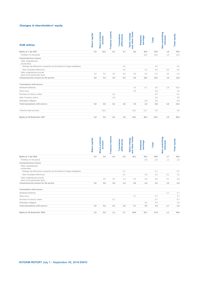#### **Changes in shareholders' equity**

| <b>EUR million</b>                                                        | <b>Share capital</b> | Share premium<br>account | Treasury shares | Translation<br>differences        | and other funds<br>Value change | Retained<br>earnings | Total        | Non-controlling<br><b>interests</b> | Total equity        |
|---------------------------------------------------------------------------|----------------------|--------------------------|-----------------|-----------------------------------|---------------------------------|----------------------|--------------|-------------------------------------|---------------------|
| Equity on 1 Jan 2017                                                      | 0,3                  | 13,3                     | $-0,1$          | 0,7                               | 8,0                             | 30,9                 | 53,0         | 1,9                                 | 54,9                |
| Profit/loss for the period                                                |                      |                          |                 |                                   |                                 | 10,5                 | 10,5         | 1,5                                 | 12,0                |
| Comprehensive income                                                      |                      |                          |                 |                                   |                                 |                      |              |                                     |                     |
| Other comprehensive<br>income items                                       |                      |                          |                 |                                   |                                 |                      |              |                                     |                     |
| Exhange rate differences caused by net investment in foreign subsidiaries |                      |                          |                 | $-0,2$                            |                                 |                      | $-0,2$       |                                     | $-0,2$              |
| Other translation differences                                             |                      |                          |                 | $-0,2$                            |                                 | 0,2                  | 0,0          | 0,0                                 | 0,0                 |
| Other comprehensive income                                                | 0,0                  | 0,0                      | 0,0             | $-0,3$                            | 0,0                             | 0,2                  | $-0,2$       | 0,0                                 | $-0,2$              |
| items for the period after taxes<br>Comprehensive income for the period   | $_{0,0}$             | $_{0,0}$                 | 0,0             | $-0,3$                            | $_{0,0}$                        | 10,6                 | 10,3         | 1,5                                 | 11,8                |
|                                                                           |                      |                          |                 |                                   |                                 |                      |              |                                     |                     |
| Transactions with owners                                                  |                      |                          |                 |                                   |                                 |                      |              |                                     |                     |
| Distributed dividends                                                     |                      |                          |                 |                                   | $-7,9$                          | $-0,7$               | $-8,5$       | $-1,8$                              | $-10,4$             |
| Share issue                                                               |                      |                          |                 |                                   | 0,9                             |                      | 0,9          |                                     | 0,9                 |
| Purchase of treasury shares                                               |                      |                          | $-0,2$          |                                   |                                 |                      | $-0,2$       |                                     | $-0,2$              |
| Sale of treasury shares                                                   |                      |                          | 0,0             |                                   |                                 |                      | 0,0          |                                     | 0,0                 |
| Redemption obligation                                                     |                      |                          |                 |                                   |                                 | $-0,8$               | $-0,8$       |                                     | $-0,8$              |
| Total transactions with owners                                            | 0,0                  | 0,0                      | $-0,1$          | $_{0,0}$                          | $-7,0$                          | $-1,5$               | $-8,6$       | $-1,8$                              | $-10,4$             |
| Transfers betw een items                                                  |                      | $-13,3$                  |                 |                                   | 25,1                            | $-11,7$              | 0,0          |                                     | 0,0                 |
| Equity on 30 September 2017                                               | 0,3                  | $_{0,0}$                 | $-0,3$          | 0,3                               | 26,1                            | 28,3                 | 54,7         | 1,5                                 | 56,3                |
|                                                                           | <b>Share capital</b> | Share premium<br>account | Treasury shares | <b>Translation</b><br>differences | and other funds<br>Value change | earnings<br>Retained | <b>Total</b> | Non-controlling<br><b>Interests</b> | <b>Total equity</b> |
| Equity on 1 Jan 2018                                                      | 0,3                  | 0,0                      | $-0,4$          | $-0,3$                            | 26,1                            | 25,2                 | 50,8         | 1,7                                 | 52,6                |
| Profit/loss for the period                                                |                      |                          |                 |                                   |                                 | $-2,9$               | $-2,9$       | 1,1                                 | $-1,8$              |
| Comprehensive income<br>Other comprehensive                               |                      |                          |                 |                                   |                                 |                      |              |                                     |                     |
| income items                                                              |                      |                          |                 |                                   |                                 |                      |              |                                     |                     |
| Exhange rate differences caused by net investment in foreign subsidiaries |                      |                          |                 | $-0,7$                            |                                 |                      | $-0,7$       |                                     | $-0,7$              |
| Other translation differences                                             |                      |                          |                 | $-0,7$                            |                                 | 0,9                  | 0,3          | $-0,1$                              | 0,2                 |
| Other comprehensive income                                                |                      | 0, 0                     | 0,0             | $-1,4$                            | 0, 0                            | 0,9                  | $-0,5$       | $-0,1$                              | $-0,6$              |
| items for the period after taxes                                          |                      |                          | $_{0,0}$        | $-1,4$                            |                                 |                      |              | 1,0                                 |                     |
| Comprehensive income for the period                                       | 0,0                  | $_{0,0}$                 |                 |                                   | $_{0,0}$                        | $-1,9$               | $-3,3$       |                                     | $-2,3$              |
| Transactions with owners                                                  |                      |                          |                 |                                   |                                 |                      |              |                                     |                     |
| Distributed dividends                                                     |                      |                          |                 |                                   |                                 |                      |              | $-1,7$                              | $-1,7$              |
| Share issue                                                               |                      |                          |                 |                                   | 0,7                             |                      | 0,7          |                                     | 0,7                 |
| Purchase of treasury shares                                               |                      |                          | $-0,7$          |                                   |                                 |                      | $-0,7$       |                                     | $-0,7$              |
| Redemption obligation                                                     |                      |                          |                 |                                   |                                 | 0,5                  | 0,5          |                                     | 0,5                 |
| Total transactions with owners                                            | 0,0                  | $_{0,0}$                 | $-0,7$          | $_{0,0}$                          | 0,7                             | 0,5                  | 0,4          | $-1,7$                              | $-1,3$              |
|                                                                           |                      |                          |                 |                                   |                                 |                      |              |                                     |                     |

|                                                                           | <b>Capital</b><br><b>Share</b> | premium<br>count<br>မ္ထ<br><b>Share</b> | shares<br>Treasury | Translation<br>differences | 븝<br>enge<br>Ē<br>ä<br>흥<br>흉<br>Value<br>g | Retained<br>earnings | Total  | Non-controlling<br><b>interests</b> | <b>Total equity</b> |
|---------------------------------------------------------------------------|--------------------------------|-----------------------------------------|--------------------|----------------------------|---------------------------------------------|----------------------|--------|-------------------------------------|---------------------|
| Equity on 1 Jan 2018                                                      | 0,3                            | 0, 0                                    | $-0,4$             | $-0,3$                     | 26,1                                        | 25,2                 | 50,8   | 1,7                                 | 52,6                |
| Profit/loss for the period                                                |                                |                                         |                    |                            |                                             | $-2,9$               | $-2,9$ | 1,1                                 | $-1,8$              |
| Comprehensive income                                                      |                                |                                         |                    |                            |                                             |                      |        |                                     |                     |
| Other comprehensive<br>income items                                       |                                |                                         |                    |                            |                                             |                      |        |                                     |                     |
| Exhange rate differences caused by net investment in foreign subsidiaries |                                |                                         |                    | $-0,7$                     |                                             |                      | $-0,7$ |                                     | $-0,7$              |
| Other translation differences                                             |                                |                                         |                    | $-0,7$                     |                                             | 0,9                  | 0,3    | $-0.1$                              | 0,2                 |
| Other comprehensive income                                                |                                | 0,0                                     | 0,0                | $-1,4$                     | 0,0                                         | 0,9                  | $-0.5$ | $-0,1$                              | $-0,6$              |
| items for the period after taxes                                          |                                |                                         |                    |                            |                                             |                      |        |                                     |                     |
| Comprehensive income for the period                                       | 0,0                            | 0, 0                                    | 0,0                | $-1,4$                     | 0,0                                         | $-1,9$               | $-3,3$ | 1,0                                 | $-2,3$              |
| Transactions with owners                                                  |                                |                                         |                    |                            |                                             |                      |        |                                     |                     |
| Distributed dividends                                                     |                                |                                         |                    |                            |                                             |                      |        | $-1,7$                              | $-1,7$              |
| Share issue                                                               |                                |                                         |                    |                            | 0,7                                         |                      | 0.7    |                                     | 0,7                 |
| Purchase of treasury shares                                               |                                |                                         | $-0,7$             |                            |                                             |                      | $-0,7$ |                                     | $-0,7$              |
| Redemption obligation                                                     |                                |                                         |                    |                            |                                             | 0.5                  | 0,5    |                                     | 0,5                 |
| Total transactions with owners                                            | 0,0                            | 0, 0                                    | $-0,7$             | 0,0                        | 0,7                                         | 0,5                  | 0,4    | $-1,7$                              | $-1,3$              |
| Equity on 30 September 2018                                               | 0,3                            | 0,0                                     | $-1,1$             | $-1,7$                     | 26,8                                        | 23,7                 | 47,9   | 1,1                                 | 49,0                |
|                                                                           |                                |                                         |                    |                            |                                             |                      |        |                                     |                     |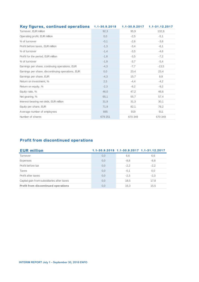| <b>Key figures, continued operations</b>          | 1.1-30.9.2018 | $1.1 - 30.9.2017$ | 1.1-31.12.2017 |
|---------------------------------------------------|---------------|-------------------|----------------|
| Turnover, EUR million                             | 92,3          | 95,9              | 132,9          |
| Operating profit, EUR million                     | 0,0           | $-2,5$            | $-5,1$         |
| % of turnover                                     | $-0,1$        | $-2,6$            | $-3,8$         |
| Profit before taxes, EUR million                  | $-1,3$        | $-3,4$            | $-6,1$         |
| % of turnover                                     | $-1,4$        | $-3,5$            | $-4,6$         |
| Profit for the period, EUR million                | $-1,8$        | $-3,5$            | $-7,2$         |
| % of turnover                                     | $-1,9$        | $-3,7$            | $-5,4$         |
| Earnings per share, continuing operations, EUR    | $-4,3$        | $-7,7$            | $-13,5$        |
| Earnings per share, discontinuing operations, EUR | 0,0           | 23,4              | 23,4           |
| Earnings per share, EUR                           | $-4,3$        | 15,7              | 9,9            |
| Return on investment, %                           | 2,5           | $-4,4$            | $-4,2$         |
| Return on equity, %                               | $-2,3$        | $-8,2$            | $-9,2$         |
| Equity ratio, %                                   | 46,0          | 47,2              | 46,6           |
| Net gearing, %                                    | 65,1          | 55,7              | 57,4           |
| Interest-bearing net debt, EUR million            | 31,9          | 31,3              | 30,1           |
| Equity per share, EUR                             | 71,9          | 82,1              | 76,2           |
| Average number of employees                       | 885           | 919               | 911            |
| Number of shares                                  | 679 251       | 670 349           | 670 349        |

# **Profit from discontinued operations**

| <b>EUR million</b>                         |     |        | 1.1-30.9.2018 1.1-30.9.2017 1.1-31.12.2017 |
|--------------------------------------------|-----|--------|--------------------------------------------|
| Turnover                                   | 0,0 | 6,6    | 6,6                                        |
| Expenses                                   | 0,0 | $-8,8$ | $-8,8$                                     |
| Profit before tax                          | 0,0 | $-2.2$ | $-2,2$                                     |
| Taxes                                      | 0,0 | $-0,1$ | 0,0                                        |
| Profit after taxes                         | 0,0 | $-2.3$ | $-2,3$                                     |
| Capital gain from subsidiaries after taxes | 0,0 | 18,5   | 17,8                                       |
| <b>Profit from discontinued operations</b> | 0,0 | 16,3   | 15,5                                       |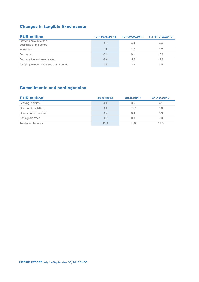# **Changes in tangible fixed assets**

| <b>EUR million</b>                                | $1.1 - 30.9.2018$ |        | $1.1 - 30.9.2017$ $1.1 - 31.12.2017$ |
|---------------------------------------------------|-------------------|--------|--------------------------------------|
| Carrying amount at the<br>beginning of the period | 3,5               | 4,4    | 4,4                                  |
| <b>Increases</b>                                  | 1.1               | 1.2    | 1,7                                  |
| Decreases                                         | $-0.1$            | 0,1    | $-0.3$                               |
| Depreciation and amortisation                     | $-1.6$            | $-1.8$ | $-2,3$                               |
| Carrying amount at the end of the period          | 2.9               | 3,9    | 3,5                                  |

# **Commitments and contingencies**

| <b>EUR million</b>         | 30.9.2018 | 30.9.2017 | 31.12.2017 |
|----------------------------|-----------|-----------|------------|
| Leasing liabilities        | 4,4       | 3,6       | 4,1        |
| Other rental liabilities   | 6,4       | 10,7      | 9,3        |
| Other contract liabilities | 0,2       | 0,4       | 0,3        |
| Bank guarantees            | 0,3       | 0,3       | 0,3        |
| Total other liabilities    | 11.3      | 15.0      | 14.0       |